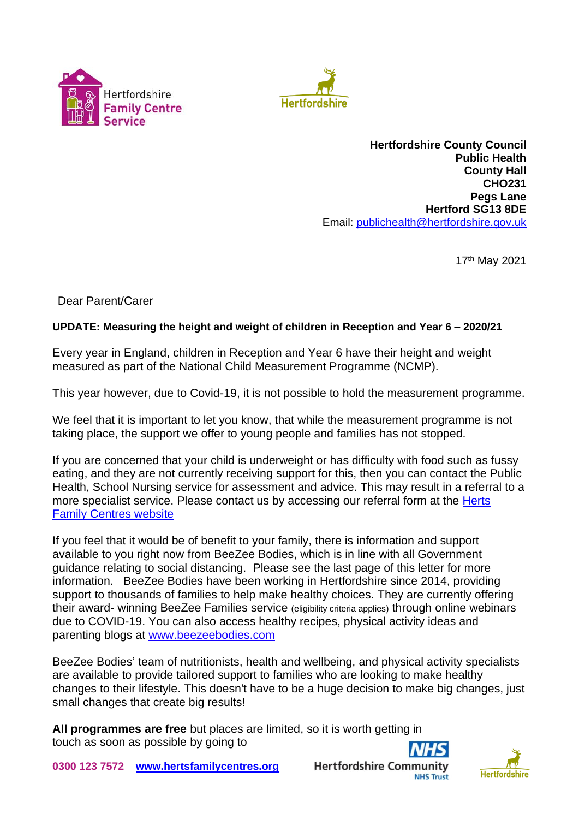



**Hertfordshire County Council Public Health County Hall CHO231 Pegs Lane Hertford SG13 8DE** Email: [publichealth@hertfordshire.gov.uk](mailto:publichealth@hertfordshire.gov.uk)

17th May 2021

Dear Parent/Carer

## **UPDATE: Measuring the height and weight of children in Reception and Year 6 – 2020/21**

Every year in England, children in Reception and Year 6 have their height and weight measured as part of the National Child Measurement Programme (NCMP).

This year however, due to Covid-19, it is not possible to hold the measurement programme.

We feel that it is important to let you know, that while the measurement programme is not taking place, the support we offer to young people and families has not stopped.

If you are concerned that your child is underweight or has difficulty with food such as fussy eating, and they are not currently receiving support for this, then you can contact the Public Health, School Nursing service for assessment and advice. This may result in a referral to a more specialist service. Please contact us by accessing our referral form at the Herts [Family Centres website](http://www.hertsfamilycentres.org/)

If you feel that it would be of benefit to your family, there is information and support available to you right now from BeeZee Bodies, which is in line with all Government guidance relating to social distancing. Please see the last page of this letter for more information. BeeZee Bodies have been working in Hertfordshire since 2014, providing support to thousands of families to help make healthy choices. They are currently offering their award- winning BeeZee Families service (eligibility criteria applies) through online webinars due to COVID-19. You can also access healthy recipes, physical activity ideas and parenting blogs at [www.beezeebodies.com](http://www.beezeebodies.com/)

BeeZee Bodies' team of nutritionists, health and wellbeing, and physical activity specialists are available to provide tailored support to families who are looking to make healthy changes to their lifestyle. This doesn't have to be a huge decision to make big changes, just small changes that create big results!

**All programmes are free** but places are limited, so it is worth getting in touch as soon as possible by going to





**0300 123 7572 [www.hertsfamilycentres.org](http://www.hertsfamilycentres.org/)**

**Hertfordshire Comm**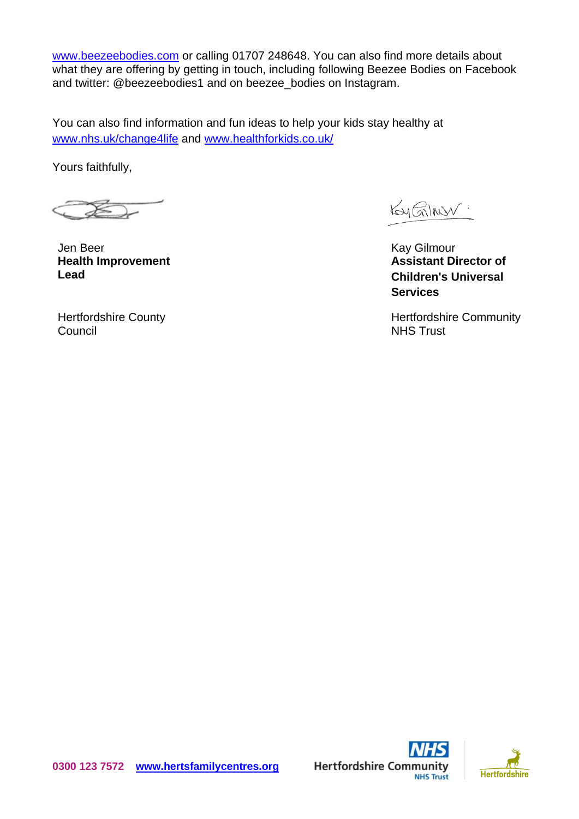[www.beezeebodies.com](http://www.beezeebodies.com/) or calling 01707 248648. You can also find more details about what they are offering by getting in touch, including following Beezee Bodies on Facebook and twitter: @beezeebodies1 and on beezee\_bodies on Instagram.

You can also find information and fun ideas to help your kids stay healthy at www.nhs.uk/change4life and [www.healthforkids.co.uk/](https://www.healthforkids.co.uk/)

Yours faithfully,

Jen Beer **Health Improvement Lead**

Kay Gilmon.

Kay Gilmour **Assistant Director of Children's Universal Services**

Hertfordshire Community NHS Trust

Hertfordshire County Council